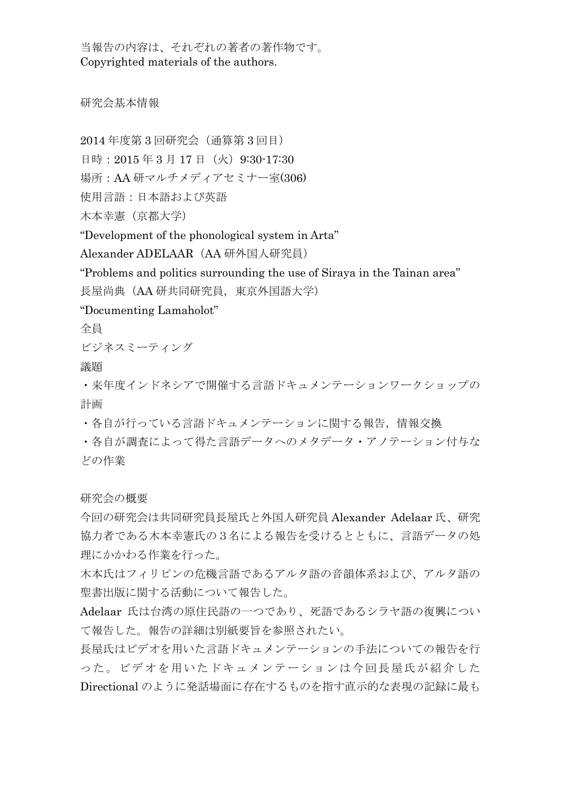当報告の内容は、それぞれの著者の著作物です。 Copyrighted materials of the authors.

研究会基本情報

2014 年度第 3 回研究会(通算第 3 回目)

日時: 2015年3月17日(火) 9:30-17:30

場所:AA 研マルチメディアセミナー室(306)

使用言語:日本語および英語

木本幸憲(京都大学)

"Development of the phonological system in Arta"

Alexander ADELAAR (AA 研外国人研究員)

"Problems and politics surrounding the use of Siraya in the Tainan area"

長屋尚典(AA 研共同研究員,東京外国語大学)

"Documenting Lamaholot"

全員

ビジネスミーティング

議題

・来年度インドネシアで開催する言語ドキュメンテーションワークショップの 計画

・各自が行っている言語ドキュメンテーションに関する報告,情報交換

・各自が調査によって得た言語データへのメタデータ・アノテーション付与な どの作業

研究会の概要

今回の研究会は共同研究員長屋氏と外国人研究員 Alexander Adelaar 氏、研究 協力者である木本幸憲氏の3名による報告を受けるとともに、言語データの処 理にかかわる作業を行った。

木本氏はフィリピンの危機言語であるアルタ語の音韻体系および、アルタ語の 聖書出版に関する活動について報告した。

Adelaar 氏は台湾の原住民語の一つであり、死語であるシラヤ語の復興につい て報告した。報告の詳細は別紙要旨を参照されたい。

長屋氏はビデオを用いた言語ドキュメンテーションの手法についての報告を行 った。ビデオを用いたドキュメンテーションは今回長屋氏が紹介した Directional のように発話場面に存在するものを指す直示的な表現の記録に最も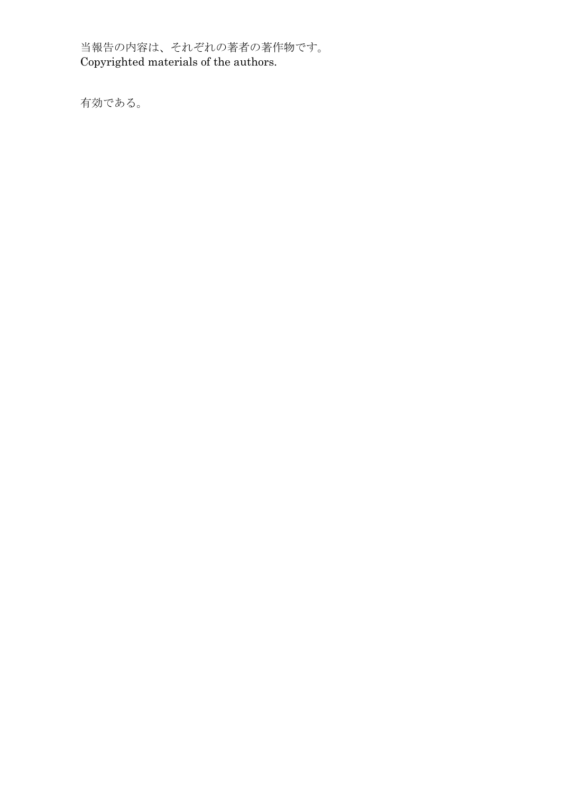当報告の内容は、それぞれの著者の著作物です。 Copyrighted materials of the authors.

有効である。